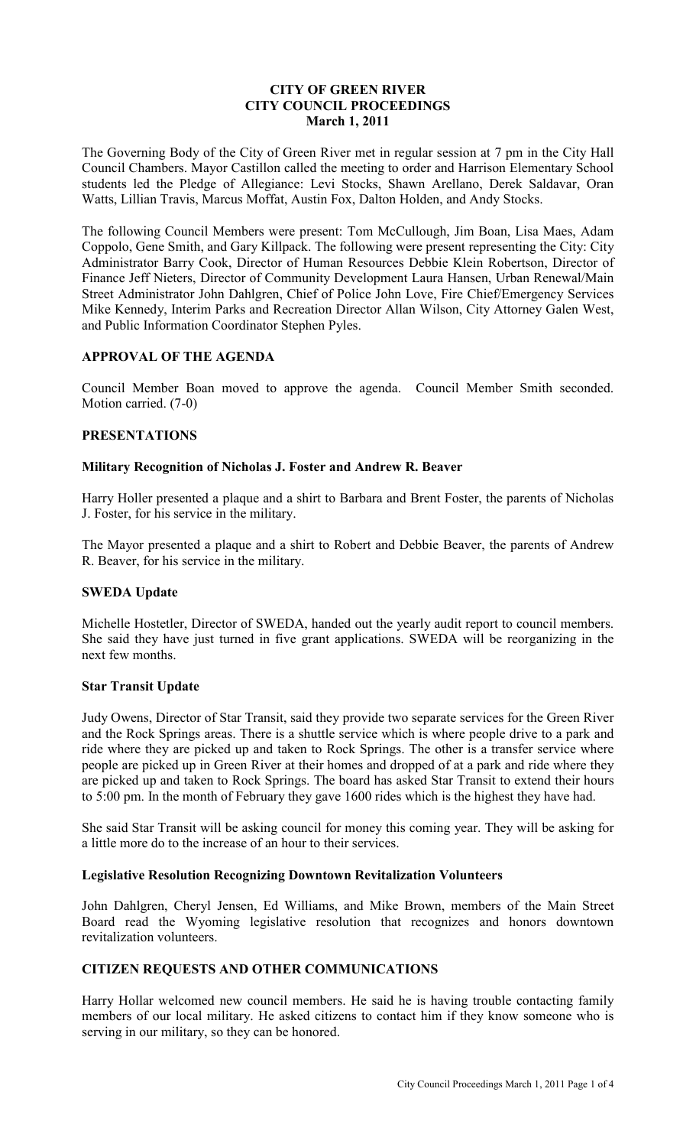# **CITY OF GREEN RIVER CITY COUNCIL PROCEEDINGS March 1, 2011**

The Governing Body of the City of Green River met in regular session at 7 pm in the City Hall Council Chambers. Mayor Castillon called the meeting to order and Harrison Elementary School students led the Pledge of Allegiance: Levi Stocks, Shawn Arellano, Derek Saldavar, Oran Watts, Lillian Travis, Marcus Moffat, Austin Fox, Dalton Holden, and Andy Stocks.

The following Council Members were present: Tom McCullough, Jim Boan, Lisa Maes, Adam Coppolo, Gene Smith, and Gary Killpack. The following were present representing the City: City Administrator Barry Cook, Director of Human Resources Debbie Klein Robertson, Director of Finance Jeff Nieters, Director of Community Development Laura Hansen, Urban Renewal/Main Street Administrator John Dahlgren, Chief of Police John Love, Fire Chief/Emergency Services Mike Kennedy, Interim Parks and Recreation Director Allan Wilson, City Attorney Galen West, and Public Information Coordinator Stephen Pyles.

# **APPROVAL OF THE AGENDA**

Council Member Boan moved to approve the agenda. Council Member Smith seconded. Motion carried. (7-0)

#### **PRESENTATIONS**

#### **Military Recognition of Nicholas J. Foster and Andrew R. Beaver**

Harry Holler presented a plaque and a shirt to Barbara and Brent Foster, the parents of Nicholas J. Foster, for his service in the military.

The Mayor presented a plaque and a shirt to Robert and Debbie Beaver, the parents of Andrew R. Beaver, for his service in the military.

## **SWEDA Update**

Michelle Hostetler, Director of SWEDA, handed out the yearly audit report to council members. She said they have just turned in five grant applications. SWEDA will be reorganizing in the next few months.

#### **Star Transit Update**

Judy Owens, Director of Star Transit, said they provide two separate services for the Green River and the Rock Springs areas. There is a shuttle service which is where people drive to a park and ride where they are picked up and taken to Rock Springs. The other is a transfer service where people are picked up in Green River at their homes and dropped of at a park and ride where they are picked up and taken to Rock Springs. The board has asked Star Transit to extend their hours to 5:00 pm. In the month of February they gave 1600 rides which is the highest they have had.

She said Star Transit will be asking council for money this coming year. They will be asking for a little more do to the increase of an hour to their services.

#### **Legislative Resolution Recognizing Downtown Revitalization Volunteers**

John Dahlgren, Cheryl Jensen, Ed Williams, and Mike Brown, members of the Main Street Board read the Wyoming legislative resolution that recognizes and honors downtown revitalization volunteers.

## **CITIZEN REQUESTS AND OTHER COMMUNICATIONS**

Harry Hollar welcomed new council members. He said he is having trouble contacting family members of our local military. He asked citizens to contact him if they know someone who is serving in our military, so they can be honored.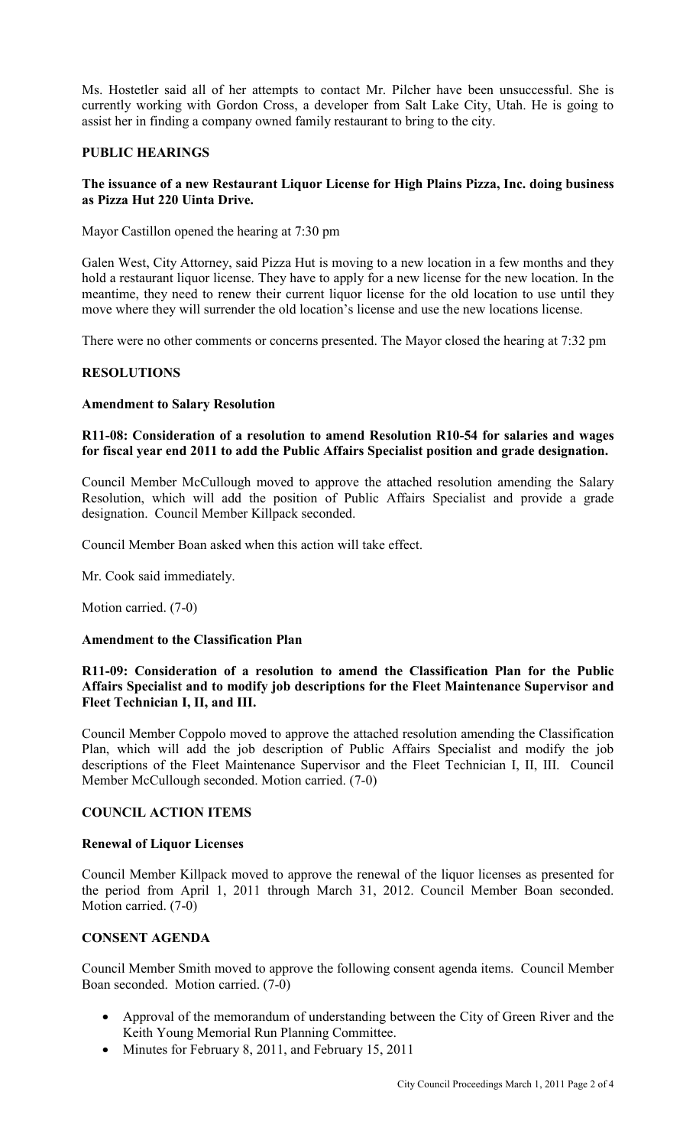Ms. Hostetler said all of her attempts to contact Mr. Pilcher have been unsuccessful. She is currently working with Gordon Cross, a developer from Salt Lake City, Utah. He is going to assist her in finding a company owned family restaurant to bring to the city.

#### **PUBLIC HEARINGS**

## **The issuance of a new Restaurant Liquor License for High Plains Pizza, Inc. doing business as Pizza Hut 220 Uinta Drive.**

Mayor Castillon opened the hearing at 7:30 pm

Galen West, City Attorney, said Pizza Hut is moving to a new location in a few months and they hold a restaurant liquor license. They have to apply for a new license for the new location. In the meantime, they need to renew their current liquor license for the old location to use until they move where they will surrender the old location's license and use the new locations license.

There were no other comments or concerns presented. The Mayor closed the hearing at 7:32 pm

# **RESOLUTIONS**

## **Amendment to Salary Resolution**

# **R11-08: Consideration of a resolution to amend Resolution R10-54 for salaries and wages for fiscal year end 2011 to add the Public Affairs Specialist position and grade designation.**

Council Member McCullough moved to approve the attached resolution amending the Salary Resolution, which will add the position of Public Affairs Specialist and provide a grade designation. Council Member Killpack seconded.

Council Member Boan asked when this action will take effect.

Mr. Cook said immediately.

Motion carried. (7-0)

## **Amendment to the Classification Plan**

## **R11-09: Consideration of a resolution to amend the Classification Plan for the Public Affairs Specialist and to modify job descriptions for the Fleet Maintenance Supervisor and Fleet Technician I, II, and III.**

Council Member Coppolo moved to approve the attached resolution amending the Classification Plan, which will add the job description of Public Affairs Specialist and modify the job descriptions of the Fleet Maintenance Supervisor and the Fleet Technician I, II, III. Council Member McCullough seconded. Motion carried. (7-0)

## **COUNCIL ACTION ITEMS**

## **Renewal of Liquor Licenses**

Council Member Killpack moved to approve the renewal of the liquor licenses as presented for the period from April 1, 2011 through March 31, 2012. Council Member Boan seconded. Motion carried. (7-0)

## **CONSENT AGENDA**

Council Member Smith moved to approve the following consent agenda items. Council Member Boan seconded. Motion carried. (7-0)

- Approval of the memorandum of understanding between the City of Green River and the Keith Young Memorial Run Planning Committee.
- Minutes for February 8, 2011, and February 15, 2011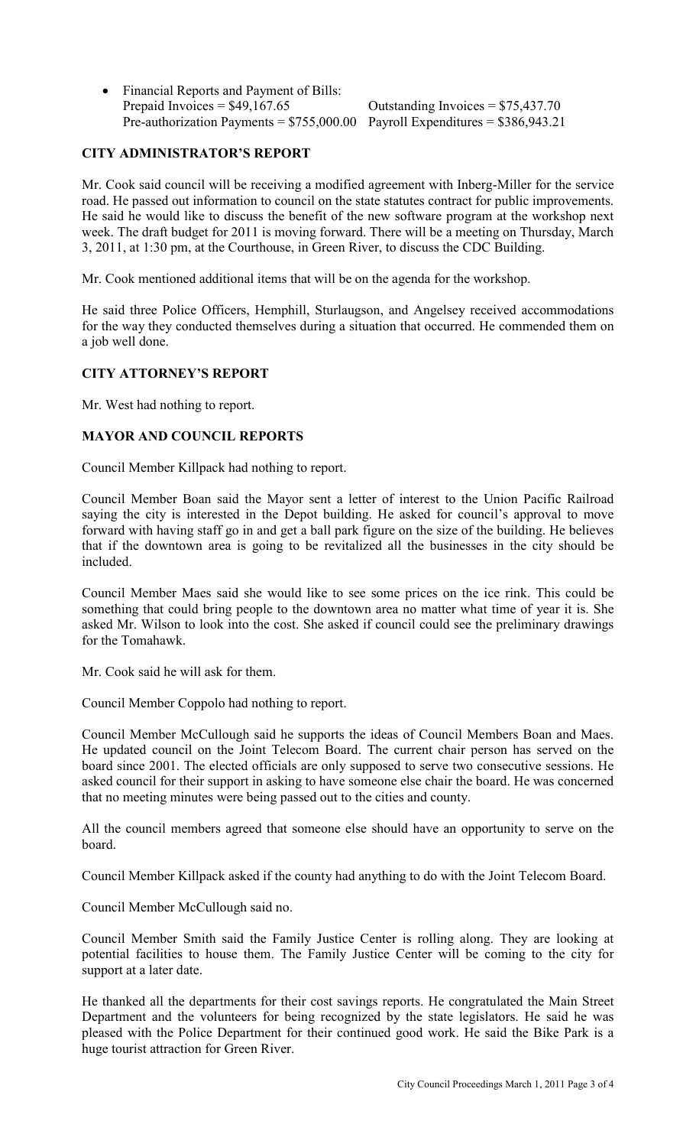• Financial Reports and Payment of Bills: Prepaid Invoices =  $$49,167.65$  Outstanding Invoices =  $$75,437.70$ Pre-authorization Payments =  $$755,000.00$  Payroll Expenditures =  $$386,943.21$ 

# **CITY ADMINISTRATOR'S REPORT**

Mr. Cook said council will be receiving a modified agreement with Inberg-Miller for the service road. He passed out information to council on the state statutes contract for public improvements. He said he would like to discuss the benefit of the new software program at the workshop next week. The draft budget for 2011 is moving forward. There will be a meeting on Thursday, March 3, 2011, at 1:30 pm, at the Courthouse, in Green River, to discuss the CDC Building.

Mr. Cook mentioned additional items that will be on the agenda for the workshop.

He said three Police Officers, Hemphill, Sturlaugson, and Angelsey received accommodations for the way they conducted themselves during a situation that occurred. He commended them on a job well done.

#### **CITY ATTORNEY'S REPORT**

Mr. West had nothing to report.

#### **MAYOR AND COUNCIL REPORTS**

Council Member Killpack had nothing to report.

Council Member Boan said the Mayor sent a letter of interest to the Union Pacific Railroad saying the city is interested in the Depot building. He asked for council's approval to move forward with having staff go in and get a ball park figure on the size of the building. He believes that if the downtown area is going to be revitalized all the businesses in the city should be included.

Council Member Maes said she would like to see some prices on the ice rink. This could be something that could bring people to the downtown area no matter what time of year it is. She asked Mr. Wilson to look into the cost. She asked if council could see the preliminary drawings for the Tomahawk.

Mr. Cook said he will ask for them.

Council Member Coppolo had nothing to report.

Council Member McCullough said he supports the ideas of Council Members Boan and Maes. He updated council on the Joint Telecom Board. The current chair person has served on the board since 2001. The elected officials are only supposed to serve two consecutive sessions. He asked council for their support in asking to have someone else chair the board. He was concerned that no meeting minutes were being passed out to the cities and county.

All the council members agreed that someone else should have an opportunity to serve on the board.

Council Member Killpack asked if the county had anything to do with the Joint Telecom Board.

Council Member McCullough said no.

Council Member Smith said the Family Justice Center is rolling along. They are looking at potential facilities to house them. The Family Justice Center will be coming to the city for support at a later date.

He thanked all the departments for their cost savings reports. He congratulated the Main Street Department and the volunteers for being recognized by the state legislators. He said he was pleased with the Police Department for their continued good work. He said the Bike Park is a huge tourist attraction for Green River.